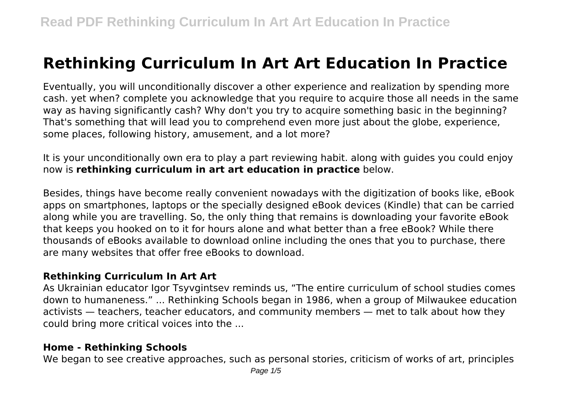# **Rethinking Curriculum In Art Art Education In Practice**

Eventually, you will unconditionally discover a other experience and realization by spending more cash. yet when? complete you acknowledge that you require to acquire those all needs in the same way as having significantly cash? Why don't you try to acquire something basic in the beginning? That's something that will lead you to comprehend even more just about the globe, experience, some places, following history, amusement, and a lot more?

It is your unconditionally own era to play a part reviewing habit. along with guides you could enjoy now is **rethinking curriculum in art art education in practice** below.

Besides, things have become really convenient nowadays with the digitization of books like, eBook apps on smartphones, laptops or the specially designed eBook devices (Kindle) that can be carried along while you are travelling. So, the only thing that remains is downloading your favorite eBook that keeps you hooked on to it for hours alone and what better than a free eBook? While there thousands of eBooks available to download online including the ones that you to purchase, there are many websites that offer free eBooks to download.

# **Rethinking Curriculum In Art Art**

As Ukrainian educator Igor Tsyvgintsev reminds us, "The entire curriculum of school studies comes down to humaneness." ... Rethinking Schools began in 1986, when a group of Milwaukee education activists — teachers, teacher educators, and community members — met to talk about how they could bring more critical voices into the ...

#### **Home - Rethinking Schools**

We began to see creative approaches, such as personal stories, criticism of works of art, principles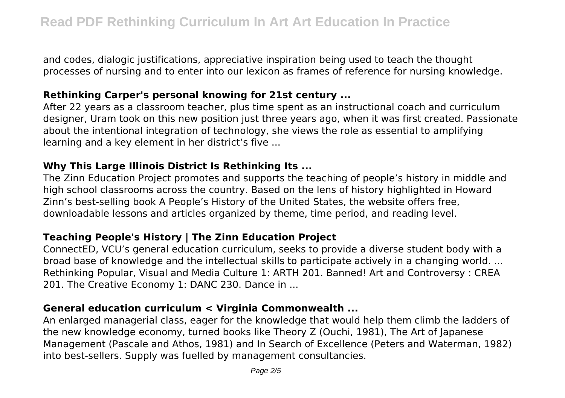and codes, dialogic justifications, appreciative inspiration being used to teach the thought processes of nursing and to enter into our lexicon as frames of reference for nursing knowledge.

#### **Rethinking Carper's personal knowing for 21st century ...**

After 22 years as a classroom teacher, plus time spent as an instructional coach and curriculum designer, Uram took on this new position just three years ago, when it was first created. Passionate about the intentional integration of technology, she views the role as essential to amplifying learning and a key element in her district's five ...

# **Why This Large Illinois District Is Rethinking Its ...**

The Zinn Education Project promotes and supports the teaching of people's history in middle and high school classrooms across the country. Based on the lens of history highlighted in Howard Zinn's best-selling book A People's History of the United States, the website offers free, downloadable lessons and articles organized by theme, time period, and reading level.

# **Teaching People's History | The Zinn Education Project**

ConnectED, VCU's general education curriculum, seeks to provide a diverse student body with a broad base of knowledge and the intellectual skills to participate actively in a changing world. ... Rethinking Popular, Visual and Media Culture 1: ARTH 201. Banned! Art and Controversy : CREA 201. The Creative Economy 1: DANC 230. Dance in ...

# **General education curriculum < Virginia Commonwealth ...**

An enlarged managerial class, eager for the knowledge that would help them climb the ladders of the new knowledge economy, turned books like Theory Z (Ouchi, 1981), The Art of Japanese Management (Pascale and Athos, 1981) and In Search of Excellence (Peters and Waterman, 1982) into best-sellers. Supply was fuelled by management consultancies.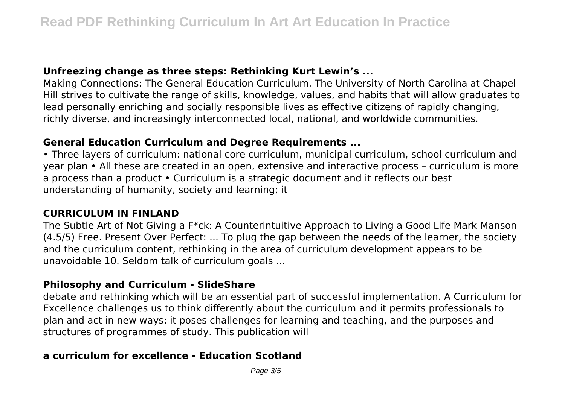#### **Unfreezing change as three steps: Rethinking Kurt Lewin's ...**

Making Connections: The General Education Curriculum. The University of North Carolina at Chapel Hill strives to cultivate the range of skills, knowledge, values, and habits that will allow graduates to lead personally enriching and socially responsible lives as effective citizens of rapidly changing, richly diverse, and increasingly interconnected local, national, and worldwide communities.

#### **General Education Curriculum and Degree Requirements ...**

• Three layers of curriculum: national core curriculum, municipal curriculum, school curriculum and year plan • All these are created in an open, extensive and interactive process – curriculum is more a process than a product • Curriculum is a strategic document and it reflects our best understanding of humanity, society and learning; it

#### **CURRICULUM IN FINLAND**

The Subtle Art of Not Giving a F\*ck: A Counterintuitive Approach to Living a Good Life Mark Manson (4.5/5) Free. Present Over Perfect: ... To plug the gap between the needs of the learner, the society and the curriculum content, rethinking in the area of curriculum development appears to be unavoidable 10. Seldom talk of curriculum goals ...

#### **Philosophy and Curriculum - SlideShare**

debate and rethinking which will be an essential part of successful implementation. A Curriculum for Excellence challenges us to think differently about the curriculum and it permits professionals to plan and act in new ways: it poses challenges for learning and teaching, and the purposes and structures of programmes of study. This publication will

# **a curriculum for excellence - Education Scotland**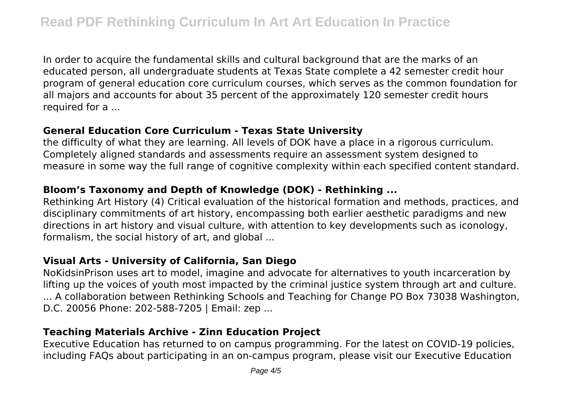In order to acquire the fundamental skills and cultural background that are the marks of an educated person, all undergraduate students at Texas State complete a 42 semester credit hour program of general education core curriculum courses, which serves as the common foundation for all majors and accounts for about 35 percent of the approximately 120 semester credit hours required for a ...

#### **General Education Core Curriculum - Texas State University**

the difficulty of what they are learning. All levels of DOK have a place in a rigorous curriculum. Completely aligned standards and assessments require an assessment system designed to measure in some way the full range of cognitive complexity within each specified content standard.

# **Bloom's Taxonomy and Depth of Knowledge (DOK) - Rethinking ...**

Rethinking Art History (4) Critical evaluation of the historical formation and methods, practices, and disciplinary commitments of art history, encompassing both earlier aesthetic paradigms and new directions in art history and visual culture, with attention to key developments such as iconology, formalism, the social history of art, and global ...

# **Visual Arts - University of California, San Diego**

NoKidsinPrison uses art to model, imagine and advocate for alternatives to youth incarceration by lifting up the voices of youth most impacted by the criminal justice system through art and culture. ... A collaboration between Rethinking Schools and Teaching for Change PO Box 73038 Washington, D.C. 20056 Phone: 202-588-7205 | Email: zep ...

# **Teaching Materials Archive - Zinn Education Project**

Executive Education has returned to on campus programming. For the latest on COVID-19 policies, including FAQs about participating in an on-campus program, please visit our Executive Education